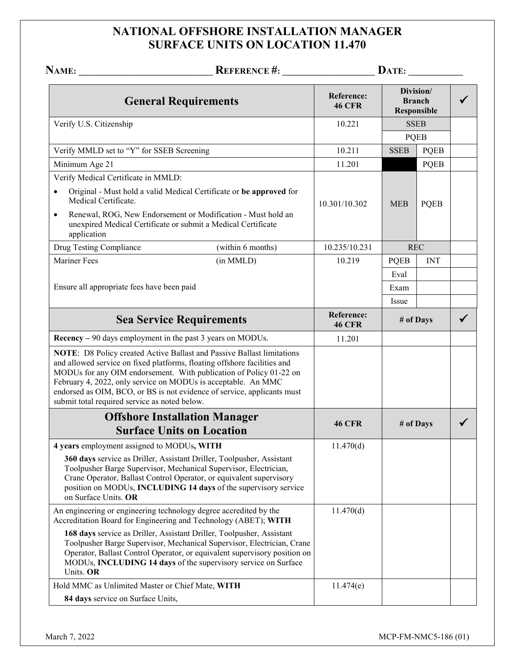## **NATIONAL OFFSHORE INSTALLATION MANAGER SURFACE UNITS ON LOCATION 11.470**

|                                                                                                                                                                                            | NAME: REFERENCE #:                                                                                                                                                                                                                                                                             |                             | $\mathbf{DATE:}\_\_\_\_\_\_\_\_\_\_\_\_\_$       |             |  |
|--------------------------------------------------------------------------------------------------------------------------------------------------------------------------------------------|------------------------------------------------------------------------------------------------------------------------------------------------------------------------------------------------------------------------------------------------------------------------------------------------|-----------------------------|--------------------------------------------------|-------------|--|
|                                                                                                                                                                                            | <b>General Requirements</b>                                                                                                                                                                                                                                                                    | Reference:<br><b>46 CFR</b> | Division/<br><b>Branch</b><br><b>Responsible</b> |             |  |
| Verify U.S. Citizenship                                                                                                                                                                    |                                                                                                                                                                                                                                                                                                | 10.221                      | <b>SSEB</b>                                      |             |  |
|                                                                                                                                                                                            |                                                                                                                                                                                                                                                                                                |                             |                                                  | <b>PQEB</b> |  |
| Verify MMLD set to "Y" for SSEB Screening                                                                                                                                                  |                                                                                                                                                                                                                                                                                                | 10.211                      | <b>SSEB</b>                                      | PQEB        |  |
| Minimum Age 21                                                                                                                                                                             |                                                                                                                                                                                                                                                                                                | 11.201                      |                                                  | <b>PQEB</b> |  |
| Verify Medical Certificate in MMLD:                                                                                                                                                        |                                                                                                                                                                                                                                                                                                |                             |                                                  |             |  |
| Medical Certificate.                                                                                                                                                                       | Original - Must hold a valid Medical Certificate or be approved for                                                                                                                                                                                                                            | 10.301/10.302               | <b>MEB</b>                                       | <b>PQEB</b> |  |
| $\bullet$<br>unexpired Medical Certificate or submit a Medical Certificate<br>application                                                                                                  | Renewal, ROG, New Endorsement or Modification - Must hold an                                                                                                                                                                                                                                   |                             |                                                  |             |  |
| Drug Testing Compliance                                                                                                                                                                    | (within 6 months)                                                                                                                                                                                                                                                                              | 10.235/10.231               |                                                  | <b>REC</b>  |  |
| <b>Mariner Fees</b>                                                                                                                                                                        | (in MMLD)                                                                                                                                                                                                                                                                                      | 10.219                      | <b>PQEB</b>                                      | <b>INT</b>  |  |
|                                                                                                                                                                                            |                                                                                                                                                                                                                                                                                                |                             | Eval                                             |             |  |
| Ensure all appropriate fees have been paid                                                                                                                                                 |                                                                                                                                                                                                                                                                                                |                             | Exam                                             |             |  |
|                                                                                                                                                                                            |                                                                                                                                                                                                                                                                                                |                             | Issue                                            |             |  |
| <b>Sea Service Requirements</b>                                                                                                                                                            |                                                                                                                                                                                                                                                                                                | Reference:<br><b>46 CFR</b> | # of Days                                        |             |  |
| Recency – 90 days employment in the past 3 years on MODUs.                                                                                                                                 |                                                                                                                                                                                                                                                                                                | 11.201                      |                                                  |             |  |
| and allowed service on fixed platforms, floating offshore facilities and<br>February 4, 2022, only service on MODUs is acceptable. An MMC<br>submit total required service as noted below. | NOTE: D8 Policy created Active Ballast and Passive Ballast limitations<br>MODUs for any OIM endorsement. With publication of Policy 01-22 on<br>endorsed as OIM, BCO, or BS is not evidence of service, applicants must                                                                        |                             |                                                  |             |  |
|                                                                                                                                                                                            | <b>Offshore Installation Manager</b><br><b>Surface Units on Location</b>                                                                                                                                                                                                                       | <b>46 CFR</b>               | # of Days                                        |             |  |
| 4 years employment assigned to MODUs, WITH                                                                                                                                                 |                                                                                                                                                                                                                                                                                                | 11.470(d)                   |                                                  |             |  |
| on Surface Units. OR                                                                                                                                                                       | 360 days service as Driller, Assistant Driller, Toolpusher, Assistant<br>Toolpusher Barge Supervisor, Mechanical Supervisor, Electrician,<br>Crane Operator, Ballast Control Operator, or equivalent supervisory<br>position on MODUs, INCLUDING 14 days of the supervisory service            |                             |                                                  |             |  |
| An engineering or engineering technology degree accredited by the<br>Accreditation Board for Engineering and Technology (ABET); WITH                                                       |                                                                                                                                                                                                                                                                                                | 11.470(d)                   |                                                  |             |  |
| Units. OR                                                                                                                                                                                  | 168 days service as Driller, Assistant Driller, Toolpusher, Assistant<br>Toolpusher Barge Supervisor, Mechanical Supervisor, Electrician, Crane<br>Operator, Ballast Control Operator, or equivalent supervisory position on<br>MODUs, INCLUDING 14 days of the supervisory service on Surface |                             |                                                  |             |  |
| Hold MMC as Unlimited Master or Chief Mate, WITH                                                                                                                                           |                                                                                                                                                                                                                                                                                                | 11.474(e)                   |                                                  |             |  |
| 84 days service on Surface Units,                                                                                                                                                          |                                                                                                                                                                                                                                                                                                |                             |                                                  |             |  |